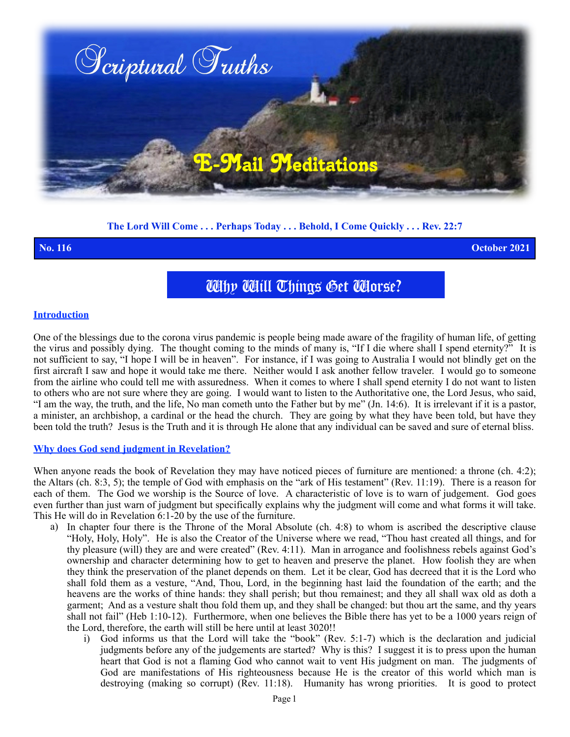

## **The Lord Will Come . . . Perhaps Today . . . Behold, I Come Quickly . . . Rev. 22:7**

**No. 116 October 2021**

# Why Will Things Get Worse?

### **Introduction**

One of the blessings due to the corona virus pandemic is people being made aware of the fragility of human life, of getting the virus and possibly dying. The thought coming to the minds of many is, "If I die where shall I spend eternity?" It is not sufficient to say, "I hope I will be in heaven". For instance, if I was going to Australia I would not blindly get on the first aircraft I saw and hope it would take me there. Neither would I ask another fellow traveler. I would go to someone from the airline who could tell me with assuredness. When it comes to where I shall spend eternity I do not want to listen to others who are not sure where they are going. I would want to listen to the Authoritative one, the Lord Jesus, who said, "I am the way, the truth, and the life, No man cometh unto the Father but by me" (Jn. 14:6). It is irrelevant if it is a pastor, a minister, an archbishop, a cardinal or the head the church. They are going by what they have been told, but have they been told the truth? Jesus is the Truth and it is through He alone that any individual can be saved and sure of eternal bliss.

### **Why does God send judgment in Revelation?**

When anyone reads the book of Revelation they may have noticed pieces of furniture are mentioned: a throne (ch. 4:2); the Altars (ch. 8:3, 5); the temple of God with emphasis on the "ark of His testament" (Rev. 11:19). There is a reason for each of them. The God we worship is the Source of love. A characteristic of love is to warn of judgement. God goes even further than just warn of judgment but specifically explains why the judgment will come and what forms it will take. This He will do in Revelation 6:1-20 by the use of the furniture.

- a) In chapter four there is the Throne of the Moral Absolute (ch. 4:8) to whom is ascribed the descriptive clause "Holy, Holy, Holy". He is also the Creator of the Universe where we read, "Thou hast created all things, and for thy pleasure (will) they are and were created" (Rev. 4:11). Man in arrogance and foolishness rebels against God's ownership and character determining how to get to heaven and preserve the planet. How foolish they are when they think the preservation of the planet depends on them. Let it be clear, God has decreed that it is the Lord who shall fold them as a vesture, "And, Thou, Lord, in the beginning hast laid the foundation of the earth; and the heavens are the works of thine hands: they shall perish; but thou remainest; and they all shall wax old as doth a garment; And as a vesture shalt thou fold them up, and they shall be changed: but thou art the same, and thy years shall not fail" (Heb 1:10-12). Furthermore, when one believes the Bible there has yet to be a 1000 years reign of the Lord, therefore, the earth will still be here until at least 3020!!
	- i) God informs us that the Lord will take the "book" (Rev. 5:1-7) which is the declaration and judicial judgments before any of the judgements are started? Why is this? I suggest it is to press upon the human heart that God is not a flaming God who cannot wait to vent His judgment on man. The judgments of God are manifestations of His righteousness because He is the creator of this world which man is destroying (making so corrupt) (Rev. 11:18). Humanity has wrong priorities. It is good to protect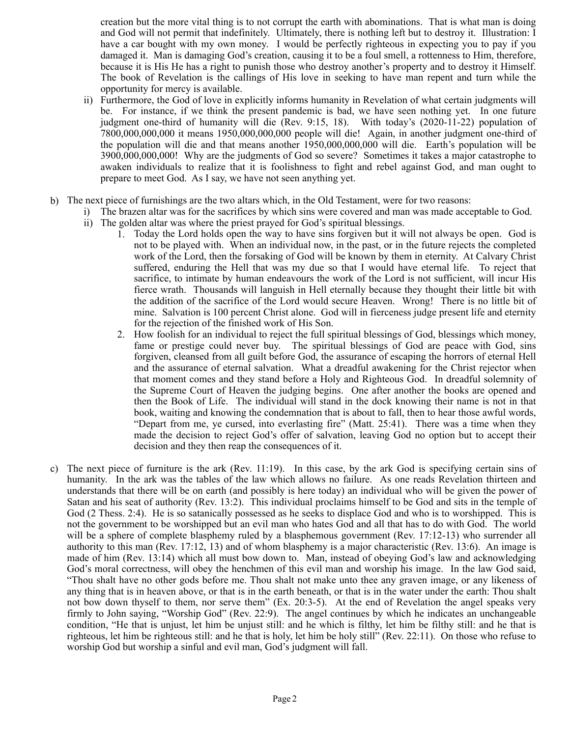creation but the more vital thing is to not corrupt the earth with abominations. That is what man is doing and God will not permit that indefinitely. Ultimately, there is nothing left but to destroy it. Illustration: I have a car bought with my own money. I would be perfectly righteous in expecting you to pay if you damaged it. Man is damaging God's creation, causing it to be a foul smell, a rottenness to Him, therefore, because it is His He has a right to punish those who destroy another's property and to destroy it Himself. The book of Revelation is the callings of His love in seeking to have man repent and turn while the opportunity for mercy is available.

- ii) Furthermore, the God of love in explicitly informs humanity in Revelation of what certain judgments will be. For instance, if we think the present pandemic is bad, we have seen nothing yet. In one future judgment one-third of humanity will die (Rev. 9:15, 18).With today's (2020-11-22) population of 7800,000,000,000 it means 1950,000,000,000 people will die! Again, in another judgment one-third of the population will die and that means another 1950,000,000,000 will die. Earth's population will be 3900,000,000,000! Why are the judgments of God so severe? Sometimes it takes a major catastrophe to awaken individuals to realize that it is foolishness to fight and rebel against God, and man ought to prepare to meet God. As I say, we have not seen anything yet.
- b) The next piece of furnishings are the two altars which, in the Old Testament, were for two reasons:
	- i) The brazen altar was for the sacrifices by which sins were covered and man was made acceptable to God.
	- ii) The golden altar was where the priest prayed for God's spiritual blessings.
		- 1. Today the Lord holds open the way to have sins forgiven but it will not always be open. God is not to be played with. When an individual now, in the past, or in the future rejects the completed work of the Lord, then the forsaking of God will be known by them in eternity. At Calvary Christ suffered, enduring the Hell that was my due so that I would have eternal life. To reject that sacrifice, to intimate by human endeavours the work of the Lord is not sufficient, will incur His fierce wrath. Thousands will languish in Hell eternally because they thought their little bit with the addition of the sacrifice of the Lord would secure Heaven. Wrong! There is no little bit of mine. Salvation is 100 percent Christ alone. God will in fierceness judge present life and eternity for the rejection of the finished work of His Son.
		- 2. How foolish for an individual to reject the full spiritual blessings of God, blessings which money, fame or prestige could never buy. The spiritual blessings of God are peace with God, sins forgiven, cleansed from all guilt before God, the assurance of escaping the horrors of eternal Hell and the assurance of eternal salvation. What a dreadful awakening for the Christ rejector when that moment comes and they stand before a Holy and Righteous God. In dreadful solemnity of the Supreme Court of Heaven the judging begins. One after another the books are opened and then the Book of Life. The individual will stand in the dock knowing their name is not in that book, waiting and knowing the condemnation that is about to fall, then to hear those awful words, "Depart from me, ye cursed, into everlasting fire" (Matt. 25:41). There was a time when they made the decision to reject God's offer of salvation, leaving God no option but to accept their decision and they then reap the consequences of it.
- c) The next piece of furniture is the ark (Rev. 11:19). In this case, by the ark God is specifying certain sins of humanity. In the ark was the tables of the law which allows no failure. As one reads Revelation thirteen and understands that there will be on earth (and possibly is here today) an individual who will be given the power of Satan and his seat of authority (Rev. 13:2). This individual proclaims himself to be God and sits in the temple of God (2 Thess. 2:4). He is so satanically possessed as he seeks to displace God and who is to worshipped. This is not the government to be worshipped but an evil man who hates God and all that has to do with God. The world will be a sphere of complete blasphemy ruled by a blasphemous government (Rev. 17:12-13) who surrender all authority to this man (Rev. 17:12, 13) and of whom blasphemy is a major characteristic (Rev. 13:6). An image is made of him (Rev. 13:14) which all must bow down to. Man, instead of obeying God's law and acknowledging God's moral correctness, will obey the henchmen of this evil man and worship his image. In the law God said, "Thou shalt have no other gods before me. Thou shalt not make unto thee any graven image, or any likeness of any thing that is in heaven above, or that is in the earth beneath, or that is in the water under the earth: Thou shalt not bow down thyself to them, nor serve them" (Ex. 20:3-5). At the end of Revelation the angel speaks very firmly to John saying, "Worship God" (Rev. 22:9). The angel continues by which he indicates an unchangeable condition, "He that is unjust, let him be unjust still: and he which is filthy, let him be filthy still: and he that is righteous, let him be righteous still: and he that is holy, let him be holy still" (Rev. 22:11). On those who refuse to worship God but worship a sinful and evil man, God's judgment will fall.